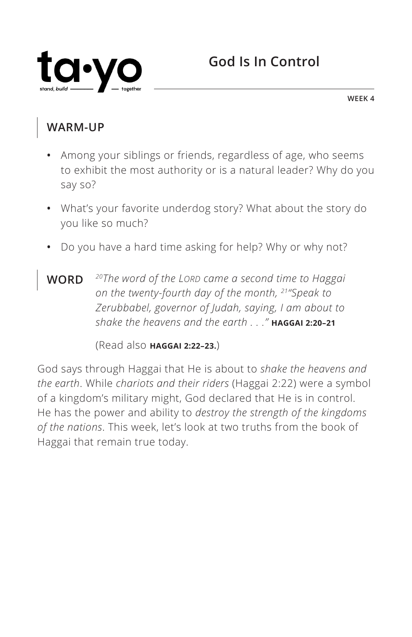

**WEEK 4**

### **WARM-UP**

- **•** Among your siblings or friends, regardless of age, who seems to exhibit the most authority or is a natural leader? Why do you say so?
- **•** What's your favorite underdog story? What about the story do you like so much?
- **•** Do you have a hard time asking for help? Why or why not?
- **WORD** *20The word of the LORD came a second time to Haggai on the twenty-fourth day of the month, 21"Speak to Zerubbabel, governor of Judah, saying, I am about to shake the heavens and the earth . . ." ^***HAGGAI 2:20–21**

(Read also **^HAGGAI 2:22–23.**)

God says through Haggai that He is about to *shake the heavens and the earth*. While *chariots and their riders* (Haggai 2:22) were a symbol of a kingdom's military might, God declared that He is in control. He has the power and ability to *destroy the strength of the kingdoms of the nations*. This week, let's look at two truths from the book of Haggai that remain true today.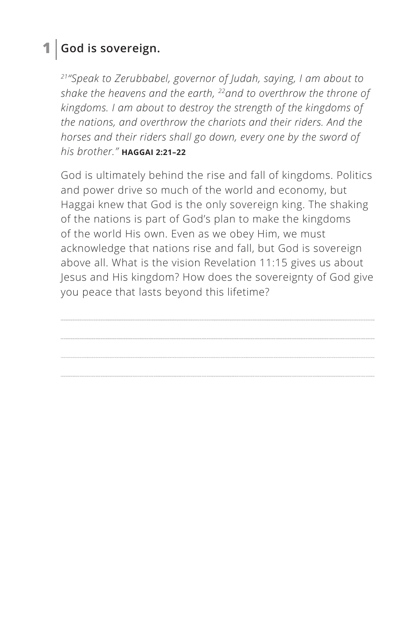### **1 God is sovereign.**

*21"Speak to Zerubbabel, governor of Judah, saying, I am about to shake the heavens and the earth, 22and to overthrow the throne of kingdoms. I am about to destroy the strength of the kingdoms of the nations, and overthrow the chariots and their riders. And the horses and their riders shall go down, every one by the sword of his brother." ^***HAGGAI 2:21–22**

God is ultimately behind the rise and fall of kingdoms. Politics and power drive so much of the world and economy, but Haggai knew that God is the only sovereign king. The shaking of the nations is part of God's plan to make the kingdoms of the world His own. Even as we obey Him, we must acknowledge that nations rise and fall, but God is sovereign above all. What is the vision Revelation 11:15 gives us about Jesus and His kingdom? How does the sovereignty of God give you peace that lasts beyond this lifetime?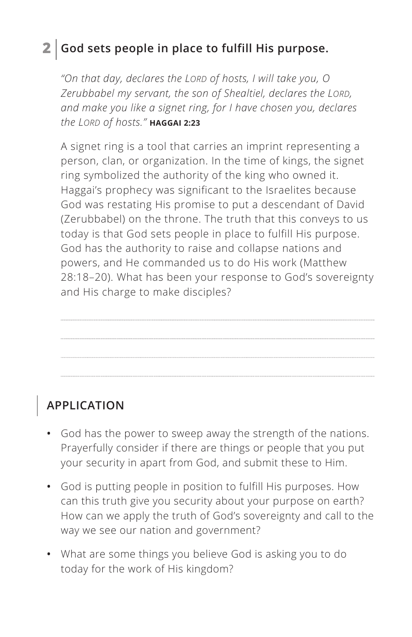### **2 God sets people in place to fulfill His purpose.**

*"On that day, declares the LORD of hosts, I will take you, O Zerubbabel my servant, the son of Shealtiel, declares the LORD, and make you like a signet ring, for I have chosen you, declares the LORD of hosts." ^***HAGGAI 2:23**

A signet ring is a tool that carries an imprint representing a person, clan, or organization. In the time of kings, the signet ring symbolized the authority of the king who owned it. Haggai's prophecy was significant to the Israelites because God was restating His promise to put a descendant of David (Zerubbabel) on the throne. The truth that this conveys to us today is that God sets people in place to fulfill His purpose. God has the authority to raise and collapse nations and powers, and He commanded us to do His work (Matthew 28:18–20). What has been your response to God's sovereignty and His charge to make disciples?

## **APPLICATION**

- **•** God has the power to sweep away the strength of the nations. Prayerfully consider if there are things or people that you put your security in apart from God, and submit these to Him.
- **•** God is putting people in position to fulfill His purposes. How can this truth give you security about your purpose on earth? How can we apply the truth of God's sovereignty and call to the way we see our nation and government?
- **•** What are some things you believe God is asking you to do today for the work of His kingdom?